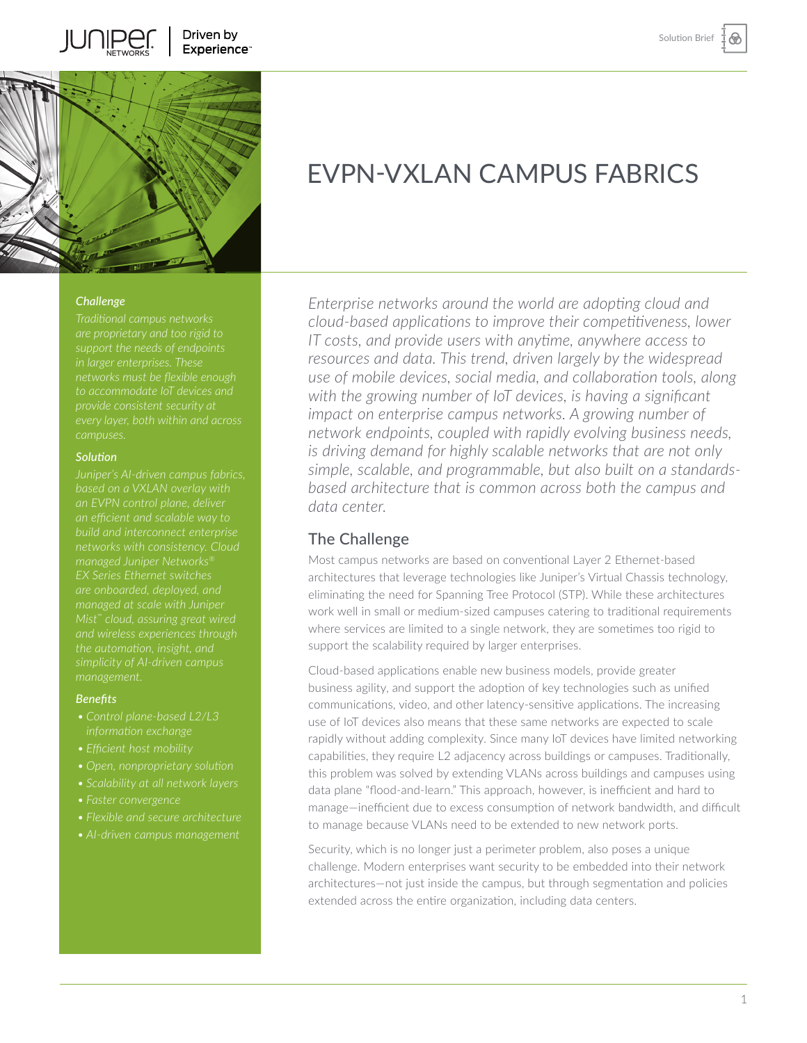⊛

Driven by Experience<sup>-</sup>



### *Challenge*

JUI IIPE

*every layer, both within and across campuses.*

### *Solution*

*build and interconnect enterprise simplicity of AI-driven campus* 

#### *Benefits*

- 
- *• Efficient host mobility*
- 
- 
- 
- 
- *• AI-driven campus management*

# EVPN-VXLAN CAMPUS FABRICS

*Enterprise networks around the world are adopting cloud and cloud-based applications to improve their competitiveness, lower IT costs, and provide users with anytime, anywhere access to resources and data. This trend, driven largely by the widespread use of mobile devices, social media, and collaboration tools, along with the growing number of IoT devices, is having a significant impact on enterprise campus networks. A growing number of network endpoints, coupled with rapidly evolving business needs, is driving demand for highly scalable networks that are not only simple, scalable, and programmable, but also built on a standardsbased architecture that is common across both the campus and data center.* 

## The Challenge

Most campus networks are based on conventional Layer 2 Ethernet-based architectures that leverage technologies like Juniper's Virtual Chassis technology, eliminating the need for Spanning Tree Protocol (STP). While these architectures work well in small or medium-sized campuses catering to traditional requirements where services are limited to a single network, they are sometimes too rigid to support the scalability required by larger enterprises.

Cloud-based applications enable new business models, provide greater business agility, and support the adoption of key technologies such as unified communications, video, and other latency-sensitive applications. The increasing use of IoT devices also means that these same networks are expected to scale rapidly without adding complexity. Since many IoT devices have limited networking capabilities, they require L2 adjacency across buildings or campuses. Traditionally, this problem was solved by extending VLANs across buildings and campuses using data plane "flood-and-learn." This approach, however, is inefficient and hard to manage—inefficient due to excess consumption of network bandwidth, and difficult to manage because VLANs need to be extended to new network ports.

Security, which is no longer just a perimeter problem, also poses a unique challenge. Modern enterprises want security to be embedded into their network architectures—not just inside the campus, but through segmentation and policies extended across the entire organization, including data centers.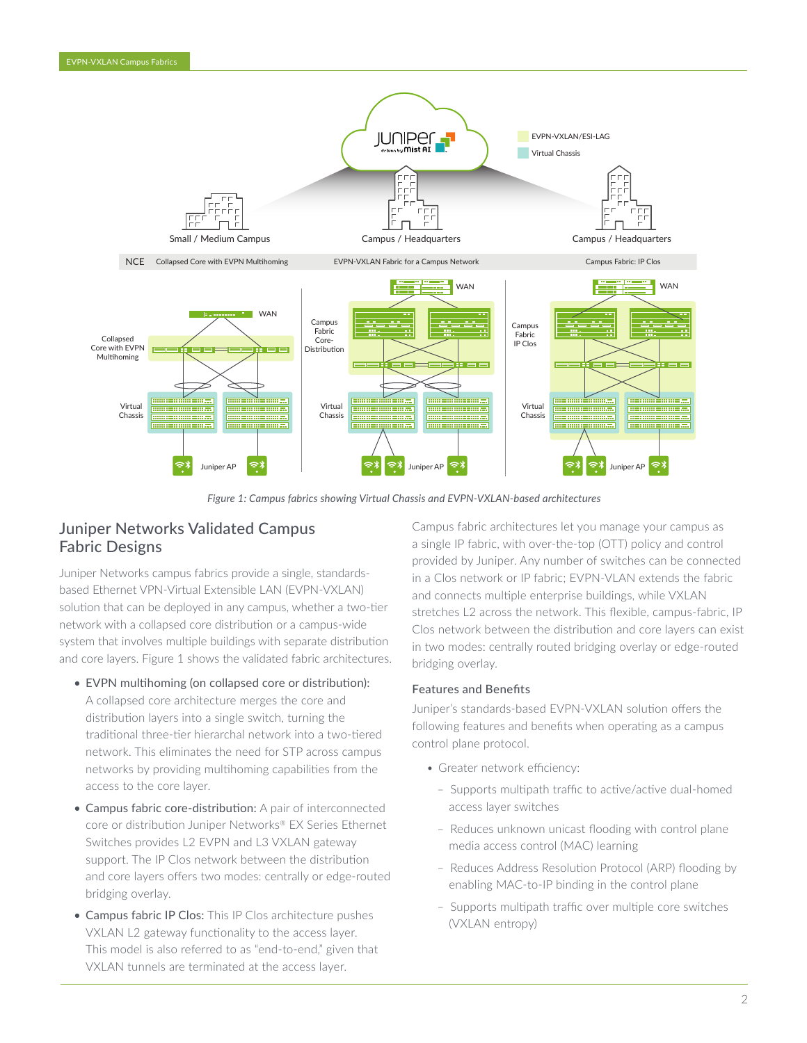

*Figure 1: Campus fabrics showing Virtual Chassis and EVPN-VXLAN-based architectures*

# Juniper Networks Validated Campus Fabric Designs

Juniper Networks campus fabrics provide a single, standardsbased Ethernet VPN-Virtual Extensible LAN (EVPN-VXLAN) solution that can be deployed in any campus, whether a two-tier network with a collapsed core distribution or a campus-wide system that involves multiple buildings with separate distribution and core layers. Figure 1 shows the validated fabric architectures.

- EVPN multihoming (on collapsed core or distribution): A collapsed core architecture merges the core and distribution layers into a single switch, turning the traditional three-tier hierarchal network into a two-tiered network. This eliminates the need for STP across campus networks by providing multihoming capabilities from the access to the core layer.
- Campus fabric core-distribution: A pair of interconnected core or distribution Juniper Networks® EX Series Ethernet Switches provides L2 EVPN and L3 VXLAN gateway support. The IP Clos network between the distribution and core layers offers two modes: centrally or edge-routed bridging overlay.
- Campus fabric IP Clos: This IP Clos architecture pushes VXLAN L2 gateway functionality to the access layer. This model is also referred to as "end-to-end," given that VXLAN tunnels are terminated at the access layer.

Campus fabric architectures let you manage your campus as a single IP fabric, with over-the-top (OTT) policy and control provided by Juniper. Any number of switches can be connected in a Clos network or IP fabric; EVPN-VLAN extends the fabric and connects multiple enterprise buildings, while VXLAN stretches L2 across the network. This flexible, campus-fabric, IP Clos network between the distribution and core layers can exist in two modes: centrally routed bridging overlay or edge-routed bridging overlay.

## Features and Benefits

Juniper's standards-based EVPN-VXLAN solution offers the following features and benefits when operating as a campus control plane protocol.

- Greater network efficiency:
	- Supports multipath traffic to active/active dual-homed access layer switches
	- Reduces unknown unicast flooding with control plane media access control (MAC) learning
	- Reduces Address Resolution Protocol (ARP) flooding by enabling MAC-to-IP binding in the control plane
	- Supports multipath traffic over multiple core switches (VXLAN entropy)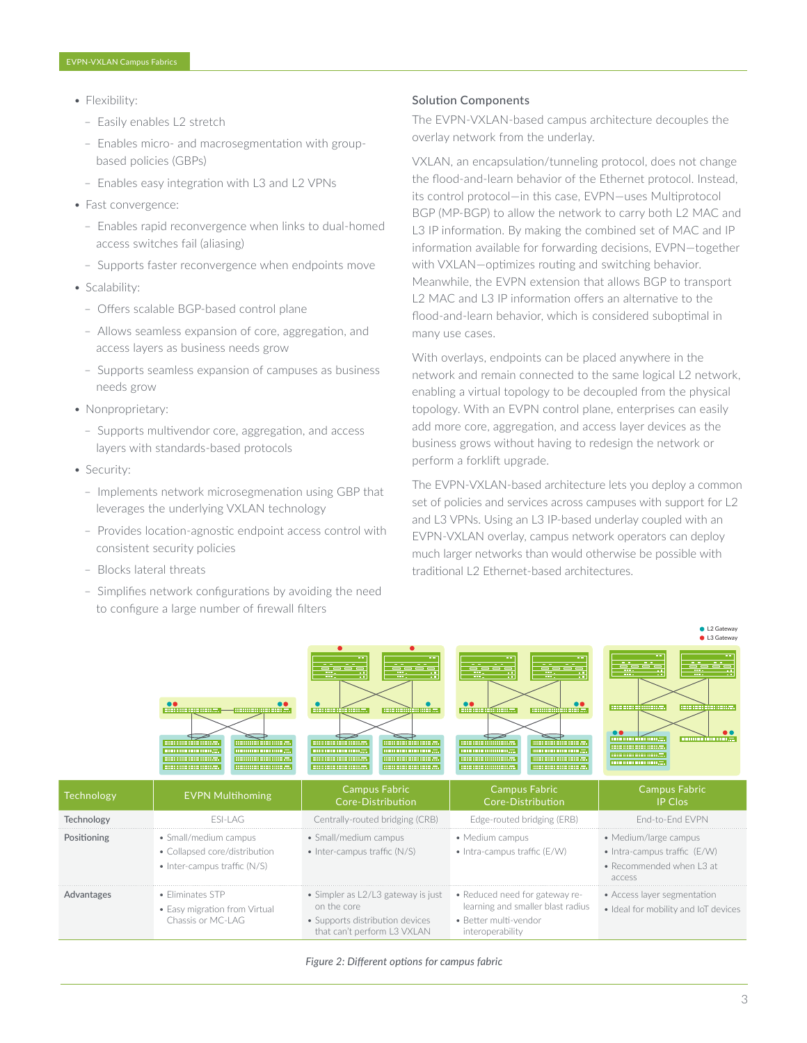- Flexibility:
	- Easily enables L2 stretch
	- Enables micro- and macrosegmentation with groupbased policies (GBPs)
	- Enables easy integration with L3 and L2 VPNs
- Fast convergence:
	- Enables rapid reconvergence when links to dual-homed access switches fail (aliasing)
	- Supports faster reconvergence when endpoints move
- Scalability:
	- Offers scalable BGP-based control plane
	- Allows seamless expansion of core, aggregation, and access layers as business needs grow
	- Supports seamless expansion of campuses as business needs grow
- Nonproprietary:
	- Supports multivendor core, aggregation, and access layers with standards-based protocols
- Security:
	- Implements network microsegmenation using GBP that leverages the underlying VXLAN technology
	- Provides location-agnostic endpoint access control with consistent security policies
	- Blocks lateral threats
	- Simplifies network configurations by avoiding the need to configure a large number of firewall filters

#### Solution Components

The EVPN-VXLAN-based campus architecture decouples the overlay network from the underlay.

VXLAN, an encapsulation/tunneling protocol, does not change the flood-and-learn behavior of the Ethernet protocol. Instead, its control protocol—in this case, EVPN—uses Multiprotocol BGP (MP-BGP) to allow the network to carry both L2 MAC and L3 IP information. By making the combined set of MAC and IP information available for forwarding decisions, EVPN—together with VXLAN—optimizes routing and switching behavior. Meanwhile, the EVPN extension that allows BGP to transport L2 MAC and L3 IP information offers an alternative to the flood-and-learn behavior, which is considered suboptimal in many use cases.

With overlays, endpoints can be placed anywhere in the network and remain connected to the same logical L2 network, enabling a virtual topology to be decoupled from the physical topology. With an EVPN control plane, enterprises can easily add more core, aggregation, and access layer devices as the business grows without having to redesign the network or perform a forklift upgrade.

The EVPN-VXLAN-based architecture lets you deploy a common set of policies and services across campuses with support for L2 and L3 VPNs. Using an L3 IP-based underlay coupled with an EVPN-VXLAN overlay, campus network operators can deploy much larger networks than would otherwise be possible with traditional L2 Ethernet-based architectures.



*Figure 2: Different options for campus fabric*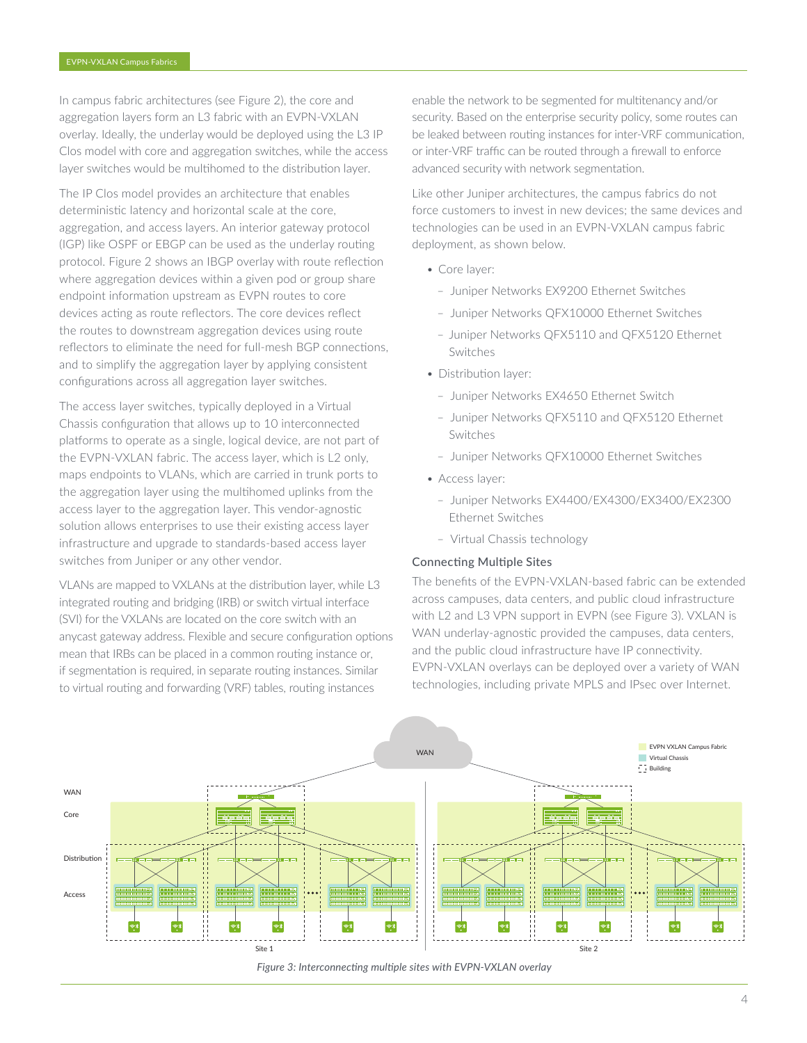In campus fabric architectures (see Figure 2), the core and aggregation layers form an L3 fabric with an EVPN-VXLAN overlay. Ideally, the underlay would be deployed using the L3 IP Clos model with core and aggregation switches, while the access layer switches would be multihomed to the distribution layer.

The IP Clos model provides an architecture that enables deterministic latency and horizontal scale at the core, aggregation, and access layers. An interior gateway protocol (IGP) like OSPF or EBGP can be used as the underlay routing protocol. Figure 2 shows an IBGP overlay with route reflection where aggregation devices within a given pod or group share endpoint information upstream as EVPN routes to core devices acting as route reflectors. The core devices reflect the routes to downstream aggregation devices using route reflectors to eliminate the need for full-mesh BGP connections, and to simplify the aggregation layer by applying consistent configurations across all aggregation layer switches.

The access layer switches, typically deployed in a Virtual Chassis configuration that allows up to 10 interconnected platforms to operate as a single, logical device, are not part of the EVPN-VXLAN fabric. The access layer, which is L2 only, maps endpoints to VLANs, which are carried in trunk ports to the aggregation layer using the multihomed uplinks from the access layer to the aggregation layer. This vendor-agnostic solution allows enterprises to use their existing access layer infrastructure and upgrade to standards-based access layer switches from Juniper or any other vendor.

VLANs are mapped to VXLANs at the distribution layer, while L3 integrated routing and bridging (IRB) or switch virtual interface (SVI) for the VXLANs are located on the core switch with an anycast gateway address. Flexible and secure configuration options mean that IRBs can be placed in a common routing instance or, if segmentation is required, in separate routing instances. Similar to virtual routing and forwarding (VRF) tables, routing instances

enable the network to be segmented for multitenancy and/or security. Based on the enterprise security policy, some routes can be leaked between routing instances for inter-VRF communication, or inter-VRF traffic can be routed through a firewall to enforce advanced security with network segmentation.

Like other Juniper architectures, the campus fabrics do not force customers to invest in new devices; the same devices and technologies can be used in an EVPN-VXLAN campus fabric deployment, as shown below.

- Core layer:
	- Juniper Networks EX9200 Ethernet Switches
	- Juniper Networks QFX10000 Ethernet Switches
	- Juniper Networks QFX5110 and QFX5120 Ethernet Switches
- Distribution layer:
	- Juniper Networks EX4650 Ethernet Switch
	- Juniper Networks QFX5110 and QFX5120 Ethernet Switches
	- Juniper Networks QFX10000 Ethernet Switches
- Access layer:
	- Juniper Networks EX4400/EX4300/EX3400/EX2300 Ethernet Switches
	- Virtual Chassis technology

### Connecting Multiple Sites

The benefits of the EVPN-VXLAN-based fabric can be extended across campuses, data centers, and public cloud infrastructure with L2 and L3 VPN support in EVPN (see Figure 3). VXLAN is WAN underlay-agnostic provided the campuses, data centers, and the public cloud infrastructure have IP connectivity. EVPN-VXLAN overlays can be deployed over a variety of WAN technologies, including private MPLS and IPsec over Internet.



*Figure 3: Interconnecting multiple sites with EVPN-VXLAN overlay*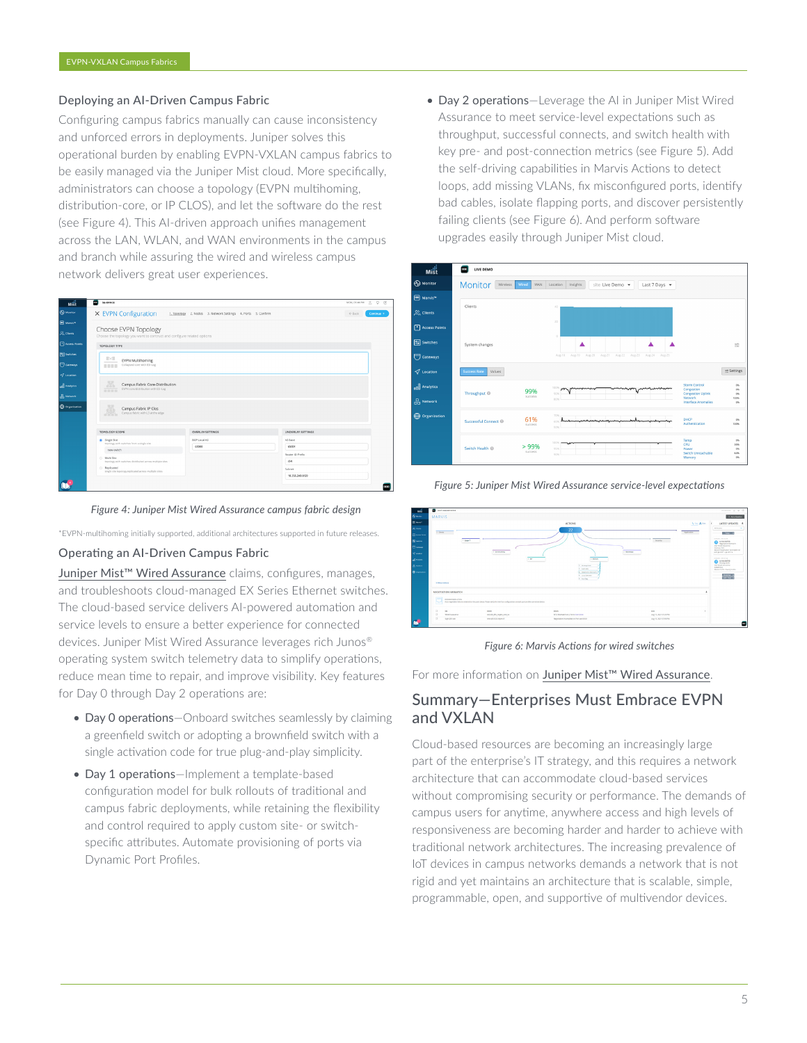### Deploying an AI-Driven Campus Fabric

Configuring campus fabrics manually can cause inconsistency and unforced errors in deployments. Juniper solves this operational burden by enabling EVPN-VXLAN campus fabrics to be easily managed via the Juniper Mist cloud. More specifically, administrators can choose a topology (EVPN multihoming, distribution-core, or IP CLOS), and let the software do the rest (see Figure 4). This AI-driven approach unifies management across the LAN, WLAN, and WAN environments in the campus and branch while assuring the wired and wireless campus network delivers great user experiences.

| мśt                                     | ш<br><b>SG-OFFICE</b>                                                                          |                                                              |                           | $Q$ (9)<br>MON, 01:44 PM<br>S.  |
|-----------------------------------------|------------------------------------------------------------------------------------------------|--------------------------------------------------------------|---------------------------|---------------------------------|
| <b>Co</b> Monitor                       | X EVPN Configuration                                                                           | 1. Topology 2. Nodes 3. Network Settings 4. Ports 5. Confirm |                           | $\leftarrow$ Back<br>Continue + |
| <b>ER</b> Marvis <sup>*</sup>           |                                                                                                |                                                              |                           |                                 |
| $2$ <sub><math>&lt;</math></sub> Clests | Choose EVPN Topology<br>Choose the topology you want to contruct and configure related options |                                                              |                           |                                 |
| <b>FI</b> Access Points                 | TOPOLOGY TYPE                                                                                  |                                                              |                           |                                 |
| Si Switches                             | $\mathbb{R}$                                                                                   |                                                              |                           |                                 |
| Gateways                                | <b>EVPN Multihoming</b><br>Collapsed core with ESI-Lag<br><b>HERE</b>                          |                                                              |                           |                                 |
| $\sigma$ techton                        |                                                                                                |                                                              |                           |                                 |
| all Analytics                           | A.<br>Campus Fabric Core-Distribution<br>EVPN core/distribution with ESI-Lag                   |                                                              |                           |                                 |
| <b>D</b> Network                        | 0000                                                                                           |                                                              |                           |                                 |
| <b>CD</b> Organization                  | Campus Fabric IP Clos<br>Campus fabric with L3 at the edge                                     |                                                              |                           |                                 |
|                                         | TOPOLOGY SCOPE                                                                                 | OVERLAY SETTINGS                                             | UNDERLAY SETTINGS         |                                 |
|                                         | Single Site<br>topology with switches from a single site                                       | BGP Local AS                                                 | AS Base                   |                                 |
|                                         | new-switch                                                                                     | 65000                                                        | 65001<br>Router ID Prefix |                                 |
|                                         | <sup>O</sup> Multi Site<br>topology with switches distributed across multiple sites            |                                                              | /24                       |                                 |
|                                         | <b>Deplicated</b><br>single site topology.replicated.across.multiple.sites                     |                                                              | Subnet                    |                                 |
|                                         |                                                                                                |                                                              | 10.255.240.0/20           |                                 |



\*EVPN-multihoming initially supported, additional architectures supported in future releases.

### Operating an AI-Driven Campus Fabric

Juniper Mist<sup>™</sup> Wired Assurance claims, configures, manages, and troubleshoots cloud-managed EX Series Ethernet switches. The cloud-based service delivers AI-powered automation and service levels to ensure a better experience for connected devices. Juniper Mist Wired Assurance leverages rich Junos® operating system switch telemetry data to simplify operations, reduce mean time to repair, and improve visibility. Key features for Day 0 through Day 2 operations are:

- Day 0 operations—Onboard switches seamlessly by claiming a greenfield switch or adopting a brownfield switch with a single activation code for true plug-and-play simplicity.
- Day 1 operations-Implement a template-based configuration model for bulk rollouts of traditional and campus fabric deployments, while retaining the flexibility and control required to apply custom site- or switchspecific attributes. Automate provisioning of ports via Dynamic Port Profiles.

• Day 2 operations—Leverage the AI in Juniper Mist Wired Assurance to meet service-level expectations such as throughput, successful connects, and switch health with key pre- and post-connection metrics (see Figure 5). Add the self-driving capabilities in Marvis Actions to detect loops, add missing VLANs, fix misconfigured ports, identify bad cables, isolate flapping ports, and discover persistently failing clients (see Figure 6). And perform software upgrades easily through Juniper Mist cloud.



*Figure 5: Juniper Mist Wired Assurance service-level expectations* 



*Figure 6: Marvis Actions for wired switches* 

For more information on [Juniper Mist™ Wired Assurance](www.juniper.net/us/en/products/cloud-services/wired-assurance.html).

# Summary—Enterprises Must Embrace EVPN and VXLAN

Cloud-based resources are becoming an increasingly large part of the enterprise's IT strategy, and this requires a network architecture that can accommodate cloud-based services without compromising security or performance. The demands of campus users for anytime, anywhere access and high levels of responsiveness are becoming harder and harder to achieve with traditional network architectures. The increasing prevalence of IoT devices in campus networks demands a network that is not rigid and yet maintains an architecture that is scalable, simple, programmable, open, and supportive of multivendor devices.